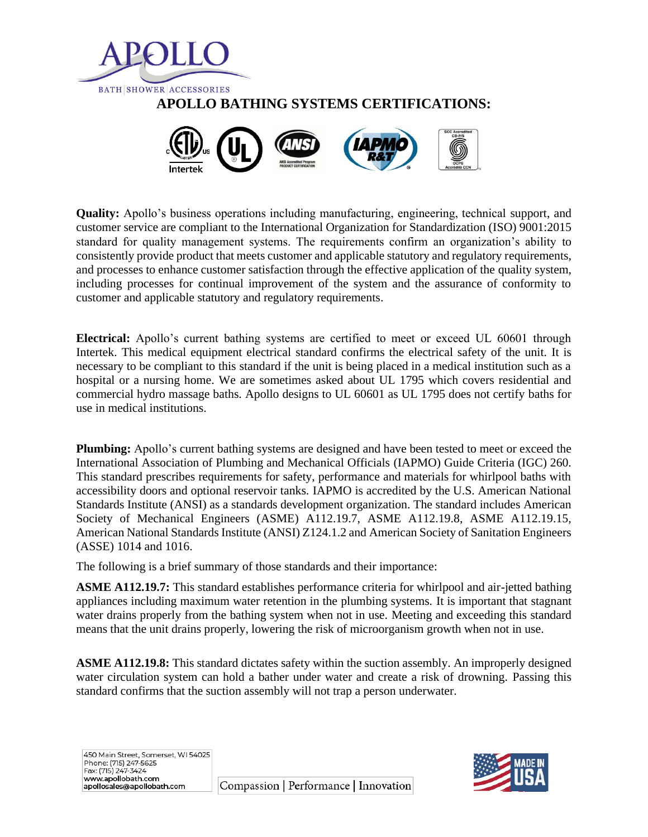

**Quality:** Apollo's business operations including manufacturing, engineering, technical support, and customer service are compliant to the International Organization for Standardization (ISO) 9001:2015 standard for quality management systems. The requirements confirm an organization's ability to consistently provide product that meets customer and applicable statutory and regulatory requirements, and processes to enhance customer satisfaction through the effective application of the quality system, including processes for continual improvement of the system and the assurance of conformity to customer and applicable statutory and regulatory requirements.

**Electrical:** Apollo's current bathing systems are certified to meet or exceed UL 60601 through Intertek. This medical equipment electrical standard confirms the electrical safety of the unit. It is necessary to be compliant to this standard if the unit is being placed in a medical institution such as a hospital or a nursing home. We are sometimes asked about UL 1795 which covers residential and commercial hydro massage baths. Apollo designs to UL 60601 as UL 1795 does not certify baths for use in medical institutions.

**Plumbing:** Apollo's current bathing systems are designed and have been tested to meet or exceed the International Association of Plumbing and Mechanical Officials (IAPMO) Guide Criteria (IGC) 260. This standard prescribes requirements for safety, performance and materials for whirlpool baths with accessibility doors and optional reservoir tanks. IAPMO is accredited by the U.S. American National Standards Institute (ANSI) as a standards development organization. The standard includes American Society of Mechanical Engineers (ASME) A112.19.7, ASME A112.19.8, ASME A112.19.15, American National Standards Institute (ANSI) Z124.1.2 and American Society of Sanitation Engineers (ASSE) 1014 and 1016.

The following is a brief summary of those standards and their importance:

**ASME A112.19.7:** This standard establishes performance criteria for whirlpool and air-jetted bathing appliances including maximum water retention in the plumbing systems. It is important that stagnant water drains properly from the bathing system when not in use. Meeting and exceeding this standard means that the unit drains properly, lowering the risk of microorganism growth when not in use.

**ASME A112.19.8:** This standard dictates safety within the suction assembly. An improperly designed water circulation system can hold a bather under water and create a risk of drowning. Passing this standard confirms that the suction assembly will not trap a person underwater.